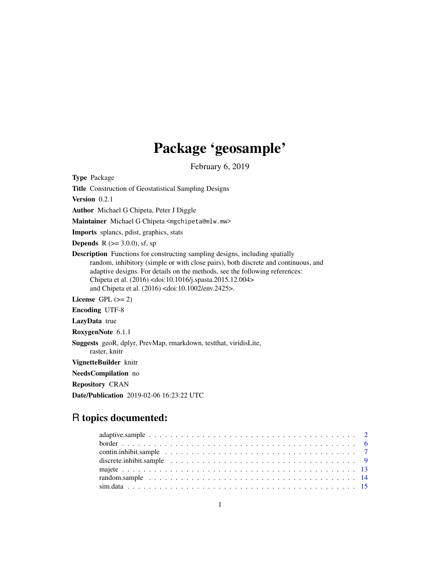# Package 'geosample'

February 6, 2019

Type Package

Title Construction of Geostatistical Sampling Designs

Version 0.2.1

Author Michael G Chipeta, Peter J Diggle

Maintainer Michael G Chipeta <mgchipeta@mlw.mw>

Imports splancs, pdist, graphics, stats

**Depends** R ( $>=$  3.0.0), sf, sp

Description Functions for constructing sampling designs, including spatially random, inhibitory (simple or with close pairs), both discrete and continuous, and adaptive designs. For details on the methods, see the following references: Chipeta et al. (2016) <doi:10.1016/j.spasta.2015.12.004> and Chipeta et al. (2016) <doi:10.1002/env.2425>.

License GPL  $(>= 2)$ 

Encoding UTF-8

LazyData true

RoxygenNote 6.1.1

Suggests geoR, dplyr, PrevMap, rmarkdown, testthat, viridisLite, raster, knitr

VignetteBuilder knitr

NeedsCompilation no

Repository CRAN

Date/Publication 2019-02-06 16:23:22 UTC

# R topics documented:

| discrete.inhibit.sample $\ldots \ldots \ldots \ldots \ldots \ldots \ldots \ldots \ldots \ldots \ldots \ldots$ |  |  |  |  |  |  |  |  |  |  |  |  |  |  |  |  |  |  |
|---------------------------------------------------------------------------------------------------------------|--|--|--|--|--|--|--|--|--|--|--|--|--|--|--|--|--|--|
|                                                                                                               |  |  |  |  |  |  |  |  |  |  |  |  |  |  |  |  |  |  |
|                                                                                                               |  |  |  |  |  |  |  |  |  |  |  |  |  |  |  |  |  |  |
|                                                                                                               |  |  |  |  |  |  |  |  |  |  |  |  |  |  |  |  |  |  |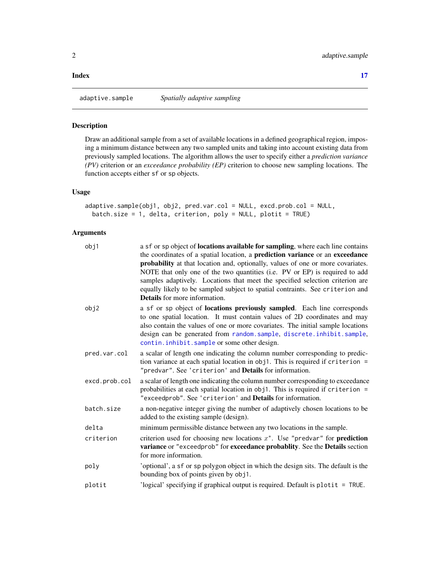#### <span id="page-1-0"></span>**Index** [17](#page-16-0)

adaptive.sample *Spatially adaptive sampling*

# Description

Draw an additional sample from a set of available locations in a defined geographical region, imposing a minimum distance between any two sampled units and taking into account existing data from previously sampled locations. The algorithm allows the user to specify either a *prediction variance (PV)* criterion or an *exceedance probability (EP)* criterion to choose new sampling locations. The function accepts either sf or sp objects.

# Usage

```
adaptive.sample(obj1, obj2, pred.var.col = NULL, excd.prob.col = NULL,
 batch.size = 1, delta, criterion, poly = NULL, plotit = TRUE)
```
# Arguments

| obj1          | a sf or sp object of <b>locations available for sampling</b> , where each line contains<br>the coordinates of a spatial location, a prediction variance or an exceedance<br>probability at that location and, optionally, values of one or more covariates.<br>NOTE that only one of the two quantities (i.e. PV or EP) is required to add<br>samples adaptively. Locations that meet the specified selection criterion are<br>equally likely to be sampled subject to spatial contraints. See criterion and<br><b>Details</b> for more information. |
|---------------|------------------------------------------------------------------------------------------------------------------------------------------------------------------------------------------------------------------------------------------------------------------------------------------------------------------------------------------------------------------------------------------------------------------------------------------------------------------------------------------------------------------------------------------------------|
| obj2          | a sf or sp object of locations previously sampled. Each line corresponds<br>to one spatial location. It must contain values of 2D coordinates and may<br>also contain the values of one or more covariates. The initial sample locations<br>design can be generated from random.sample, discrete.inhibit.sample,<br>contin.inhibit.sample or some other design.                                                                                                                                                                                      |
| pred.var.col  | a scalar of length one indicating the column number corresponding to predic-<br>tion variance at each spatial location in obj1. This is required if criterion =<br>"predvar". See 'criterion' and Details for information.                                                                                                                                                                                                                                                                                                                           |
| excd.prob.col | a scalar of length one indicating the column number corresponding to exceedance<br>probabilities at each spatial location in obj1. This is required if criterion =<br>"exceedprob". See 'criterion' and Details for information.                                                                                                                                                                                                                                                                                                                     |
| batch.size    | a non-negative integer giving the number of adaptively chosen locations to be<br>added to the existing sample (design).                                                                                                                                                                                                                                                                                                                                                                                                                              |
| delta         | minimum permissible distance between any two locations in the sample.                                                                                                                                                                                                                                                                                                                                                                                                                                                                                |
| criterion     | criterion used for choosing new locations $x^*$ . Use "predvar" for <b>prediction</b><br>variance or "exceedprob" for exceedance probablity. See the Details section<br>for more information.                                                                                                                                                                                                                                                                                                                                                        |
| poly          | 'optional', a sf or sp polygon object in which the design sits. The default is the<br>bounding box of points given by obj1.                                                                                                                                                                                                                                                                                                                                                                                                                          |
| plotit        | 'logical' specifying if graphical output is required. Default is plotit $=$ TRUE.                                                                                                                                                                                                                                                                                                                                                                                                                                                                    |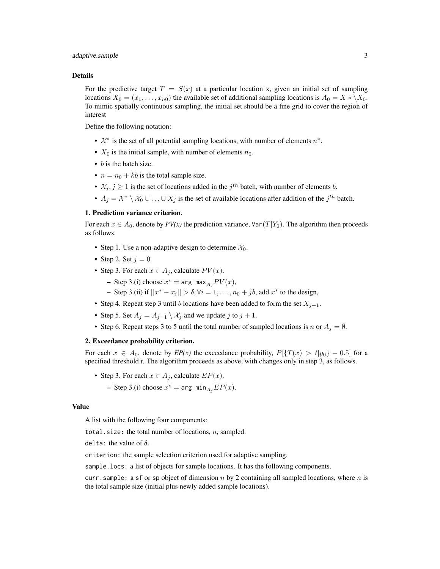# adaptive.sample 3

### Details

For the predictive target  $T = S(x)$  at a particular location x, given an initial set of sampling locations  $X_0 = (x_1, \ldots, x_{n0})$  the available set of additional sampling locations is  $A_0 = X * \X_0$ . To mimic spatially continuous sampling, the initial set should be a fine grid to cover the region of interest

Define the following notation:

- $\mathcal{X}^*$  is the set of all potential sampling locations, with number of elements  $n^*$ .
- $X_0$  is the initial sample, with number of elements  $n_0$ .
- *b* is the batch size.
- $n = n_0 + kb$  is the total sample size.
- $\mathcal{X}_j, j \geq 1$  is the set of locations added in the  $j^{th}$  batch, with number of elements b.
- $A_j = \mathcal{X}^* \setminus \mathcal{X}_0 \cup \ldots \cup X_j$  is the set of available locations after addition of the  $j^{th}$  batch.

# 1. Prediction variance criterion.

For each  $x \in A_0$ , denote by  $PV(x)$  the prediction variance,  $Var(T|Y_0)$ . The algorithm then proceeds as follows.

- Step 1. Use a non-adaptive design to determine  $\mathcal{X}_0$ .
- Step 2. Set  $j = 0$ .
- Step 3. For each  $x \in A_i$ , calculate  $PV(x)$ .
	- Step 3.(i) choose  $x^* = \arg \max_{A_j} PV(x)$ ,

- Step 3.(ii) if  $||x^* - x_i|| > \delta, \forall i = 1, ..., n_0 + jb$ , add  $x^*$  to the design,

- Step 4. Repeat step 3 until b locations have been added to form the set  $X_{j+1}$ .
- Step 5. Set  $A_j = A_{j=1} \setminus \mathcal{X}_j$  and we update j to  $j+1$ .
- Step 6. Repeat steps 3 to 5 until the total number of sampled locations is n or  $A_j = \emptyset$ .

# 2. Exceedance probability criterion.

For each  $x \in A_0$ , denote by  $E P(x)$  the exceedance probability,  $P[\{T(x) > t | y_0\} - 0.5]$  for a specified threshold *t*. The algorithm proceeds as above, with changes only in step 3, as follows.

- Step 3. For each  $x \in A_i$ , calculate  $EP(x)$ .
	- Step 3.(i) choose  $x^* = \arg \min_{A_j} EP(x)$ .

#### Value

A list with the following four components:

total.size: the total number of locations,  $n$ , sampled.

delta: the value of  $\delta$ .

criterion: the sample selection criterion used for adaptive sampling.

sample.locs: a list of objects for sample locations. It has the following components.

curr. sample: a sf or sp object of dimension n by 2 containing all sampled locations, where n is the total sample size (initial plus newly added sample locations).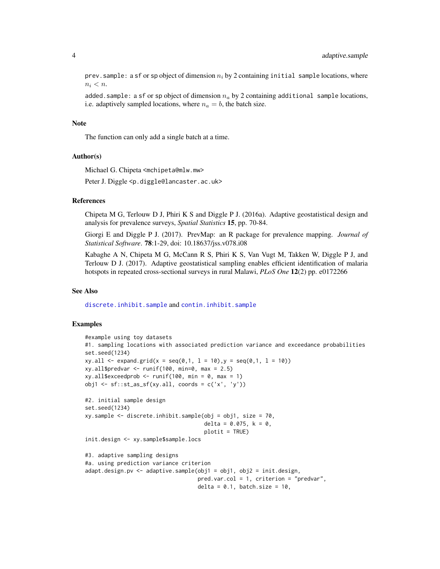prev. sample: a sf or sp object of dimension  $n_i$  by 2 containing initial sample locations, where  $n_i < n$ .

added.sample: a sf or sp object of dimension  $n_a$  by 2 containing additional sample locations, i.e. adaptively sampled locations, where  $n_a = b$ , the batch size.

# Note

The function can only add a single batch at a time.

#### Author(s)

Michael G. Chipeta <mchipeta@mlw.mw>

Peter J. Diggle <p.diggle@lancaster.ac.uk>

# References

Chipeta M G, Terlouw D J, Phiri K S and Diggle P J. (2016a). Adaptive geostatistical design and analysis for prevalence surveys, *Spatial Statistics* 15, pp. 70-84.

Giorgi E and Diggle P J. (2017). PrevMap: an R package for prevalence mapping. *Journal of Statistical Software*. 78:1-29, doi: 10.18637/jss.v078.i08

Kabaghe A N, Chipeta M G, McCann R S, Phiri K S, Van Vugt M, Takken W, Diggle P J, and Terlouw D J. (2017). Adaptive geostatistical sampling enables efficient identification of malaria hotspots in repeated cross-sectional surveys in rural Malawi, *PLoS One* 12(2) pp. e0172266

# See Also

[discrete.inhibit.sample](#page-8-1) and [contin.inhibit.sample](#page-6-1)

# Examples

```
#example using toy datasets
#1. sampling locations with associated prediction variance and exceedance probabilities
set.seed(1234)
xy.all <- expand.grid(x = seq(0,1, 1 = 10),y = seq(0,1, 1 = 10))
xy.all$predvar <- runif(100, min=0, max = 2.5)
xy.all$exceedprob <- runif(100, min = 0, max = 1)
obj1 \leftarrow sf::st_as_sf(xy.all, coords = c('x', 'y'))#2. initial sample design
set.seed(1234)
xy.sample <- discrete.inhibit.sample(obj = obj1, size = 70,
                                     delta = 0.075, k = 0,
                                     plotit = TRUE)
init.design <- xy.sample$sample.locs
#3. adaptive sampling designs
#a. using prediction variance criterion
adapt.design.pv <- adaptive.sample(obj1 = obj1, obj2 = init.design,
                                   pred.var.col = 1, criterion = "predvar",
                                   delta = 0.1, batch.size = 10,
```
<span id="page-3-0"></span>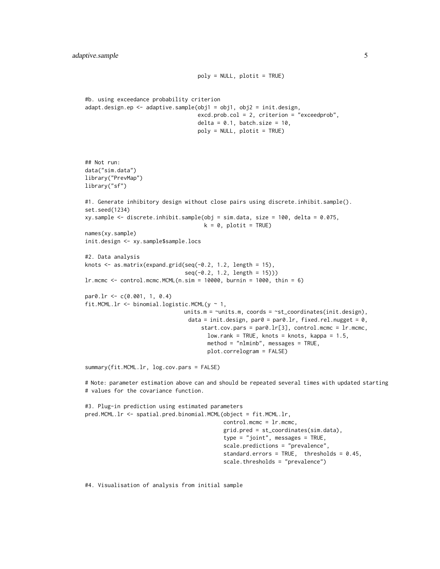```
poly = NULL, plotit = TRUE)
#b. using exceedance probability criterion
adapt.design.ep <- adaptive.sample(obj1 = obj1, obj2 = init.design,
                                    excd.prob.col = 2, criterion = "exceedprob",
                                    delta = 0.1, batch.size = 10,
                                    poly = NULL, plotit = TRUE)
## Not run:
data("sim.data")
library("PrevMap")
library("sf")
#1. Generate inhibitory design without close pairs using discrete.inhibit.sample().
set.seed(1234)
xy.sample <- discrete.inhibit.sample(obj = sim.data, size = 100, delta = 0.075,
                                      k = 0, plotit = TRUE)
names(xy.sample)
init.design <- xy.sample$sample.locs
#2. Data analysis
knots <- as.matrix(expand.grid(seq(-0.2, 1.2, length = 15),
                                seq(-0.2, 1.2, length = 15)))
lr.mcmc < - control.mcmc.MCML(n,sim = 10000, burnin = 1000, thin = 6)par0.lr <- c(0.001, 1, 0.4)
fit.MCML.lr <- binomial.logistic.MCML(y \sim 1,
                               units.m = \nuunits.m, coords = \nust_coordinates(init.design),
                                data = init.design, par\theta = par\theta.lr, fixed.rel.nugget = \theta,
                                     start.cov.pars = par0.lr[3], control.mcmc = lr.mcmc,
                                       low.random = TRUE, knots = knots, kappa = 1.5,method = "nlminb", messages = TRUE,
                                       plot.correlogram = FALSE)
summary(fit.MCML.lr, log.cov.pars = FALSE)
# Note: parameter estimation above can and should be repeated several times with updated starting
```

```
#3. Plug-in prediction using estimated parameters
pred.MCML.lr <- spatial.pred.binomial.MCML(object = fit.MCML.lr,
                                           control.mcmc = lr.mcmc,
                                           grid.pred = st_coordinates(sim.data),
                                           type = "joint", messages = TRUE,
                                           scale.predictions = "prevalence",
                                           standard.errors = TRUE, thresholds = 0.45,
                                           scale.thresholds = "prevalence")
```
#4. Visualisation of analysis from initial sample

# values for the covariance function.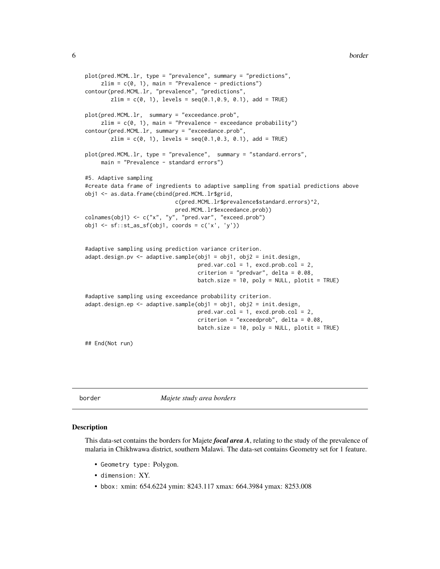```
plot(pred.MCML.lr, type = "prevalence", summary = "predictions",
     zlim = c(0, 1), main = "Prevalence - predictions")
contour(pred.MCML.lr, "prevalence", "predictions",
        zlim = c(0, 1), levels = seq(0.1, 0.9, 0.1), add = TRUE)
plot(pred.MCML.lr, summary = "exceedance.prob",
     zlim = c(0, 1), main = "Prevalence - exceedance probability")
contour(pred.MCML.lr, summary = "exceedance.prob",
        zlim = c(0, 1), levels = seq(0.1, 0.3, 0.1), add = TRUE)
plot(pred.MCML.lr, type = "prevalence", summary = "standard.errors",
     main = "Prevalence - standard errors")
#5. Adaptive sampling
#create data frame of ingredients to adaptive sampling from spatial predictions above
obj1 <- as.data.frame(cbind(pred.MCML.lr$grid,
                            c(pred.MCML.lr$prevalence$standard.errors)^2,
                            pred.MCML.lr$exceedance.prob))
colnames(obj1) <- c("x", "y", "pred.var", "exceed.prob")
obj1 \leftarrow sf::st_as_sf(obj1, coords = c('x', 'y'))#adaptive sampling using prediction variance criterion.
adapt.design.pv <- adaptive.sample(obj1 = obj1, obj2 = init.design,
                                   pred.var.col = 1, excd.prob.col = 2,
                                   criterion = "predvar", delta = 0.08,
                                   batch.size = 10, poly = NULL, plotit = TRUE)
#adaptive sampling using exceedance probability criterion.
adapt.design.ep <- adaptive.sample(obj1 = obj1, obj2 = init.design,
                                   pred.var.col = 1, excd.prob.col = 2,
                                   criterion = "exceedprob", delta = 0.08,
                                   batch.size = 10, poly = NULL, plotit = TRUE)
## End(Not run)
```
border *Majete study area borders*

#### Description

This data-set contains the borders for Majete *focal area A*, relating to the study of the prevalence of malaria in Chikhwawa district, southern Malawi. The data-set contains Geometry set for 1 feature.

- Geometry type: Polygon.
- dimension: XY.
- bbox: xmin: 654.6224 ymin: 8243.117 xmax: 664.3984 ymax: 8253.008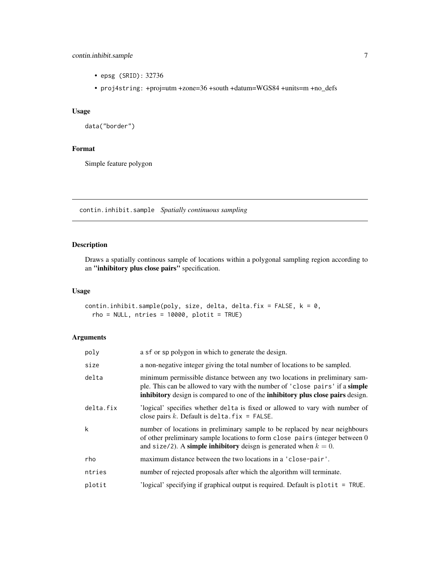# <span id="page-6-0"></span>contin.inhibit.sample 7

- epsg (SRID): 32736
- proj4string: +proj=utm +zone=36 +south +datum=WGS84 +units=m +no\_defs

# Usage

```
data("border")
```
# Format

Simple feature polygon

<span id="page-6-1"></span>contin.inhibit.sample *Spatially continuous sampling*

# Description

Draws a spatially continous sample of locations within a polygonal sampling region according to an "inhibitory plus close pairs" specification.

# Usage

```
contin.inhibit.sample(poly, size, delta, delta.fix = FALSE, k = 0,
  rho = NULL, ntries = 10000, plotit = TRUE)
```
# Arguments

| poly      | a sf or sp polygon in which to generate the design.                                                                                                                                                                                            |
|-----------|------------------------------------------------------------------------------------------------------------------------------------------------------------------------------------------------------------------------------------------------|
| size      | a non-negative integer giving the total number of locations to be sampled.                                                                                                                                                                     |
| delta     | minimum permissible distance between any two locations in preliminary sam-<br>ple. This can be allowed to vary with the number of 'close pairs' if a simple<br>inhibitory design is compared to one of the inhibitory plus close pairs design. |
| delta.fix | logical' specifies whether delta is fixed or allowed to vary with number of<br>close pairs k. Default is delta. $fix = FALSE$ .                                                                                                                |
| k         | number of locations in preliminary sample to be replaced by near neighbours<br>of other preliminary sample locations to form close pairs (integer between 0<br>and size/2). A simple inhibitory deisgn is generated when $k = 0$ .             |
| rho       | maximum distance between the two locations in a 'close-pair'.                                                                                                                                                                                  |
| ntries    | number of rejected proposals after which the algorithm will terminate.                                                                                                                                                                         |
| plotit    | 'logical' specifying if graphical output is required. Default is plot $t = TRUE$ .                                                                                                                                                             |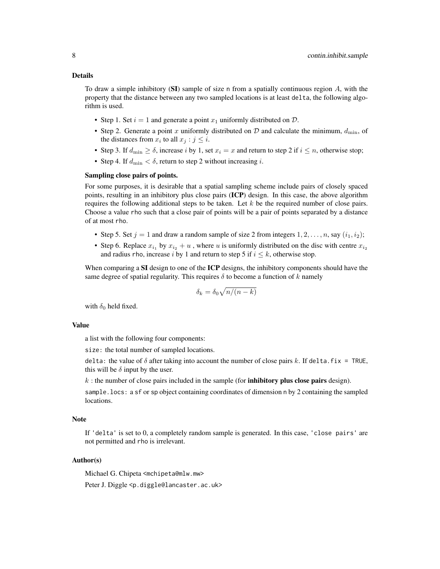# Details

To draw a simple inhibitory  $(SI)$  sample of size n from a spatially continuous region A, with the property that the distance between any two sampled locations is at least delta, the following algorithm is used.

- Step 1. Set  $i = 1$  and generate a point  $x_1$  uniformly distributed on  $\mathcal{D}$ .
- Step 2. Generate a point x uniformly distributed on  $\mathcal D$  and calculate the minimum,  $d_{\min}$ , of the distances from  $x_i$  to all  $x_j : j \leq i$ .
- Step 3. If  $d_{\min} \ge \delta$ , increase i by 1, set  $x_i = x$  and return to step 2 if  $i \le n$ , otherwise stop;
- Step 4. If  $d_{\text{min}} < \delta$ , return to step 2 without increasing *i*.

# Sampling close pairs of points.

For some purposes, it is desirable that a spatial sampling scheme include pairs of closely spaced points, resulting in an inhibitory plus close pairs (ICP) design. In this case, the above algorithm requires the following additional steps to be taken. Let  $k$  be the required number of close pairs. Choose a value rho such that a close pair of points will be a pair of points separated by a distance of at most rho.

- Step 5. Set  $j = 1$  and draw a random sample of size 2 from integers  $1, 2, \ldots, n$ , say  $(i_1, i_2)$ ;
- Step 6. Replace  $x_{i_1}$  by  $x_{i_2} + u$ , where u is uniformly distributed on the disc with centre  $x_{i_2}$ and radius rho, increase i by 1 and return to step 5 if  $i \leq k$ , otherwise stop.

When comparing a SI design to one of the ICP designs, the inhibitory components should have the same degree of spatial regularity. This requires  $\delta$  to become a function of k namely

$$
\delta_k = \delta_0 \sqrt{n/(n-k)}
$$

with  $\delta_0$  held fixed.

# Value

a list with the following four components:

size: the total number of sampled locations.

delta: the value of  $\delta$  after taking into account the number of close pairs k. If delta. fix = TRUE, this will be  $\delta$  input by the user.

 $k$ : the number of close pairs included in the sample (for **inhibitory plus close pairs** design).

sample.locs: a sf or sp object containing coordinates of dimension n by 2 containing the sampled locations.

# Note

If 'delta' is set to 0, a completely random sample is generated. In this case, 'close pairs' are not permitted and rho is irrelevant.

#### Author(s)

Michael G. Chipeta <mchipeta@mlw.mw>

Peter J. Diggle <p.diggle@lancaster.ac.uk>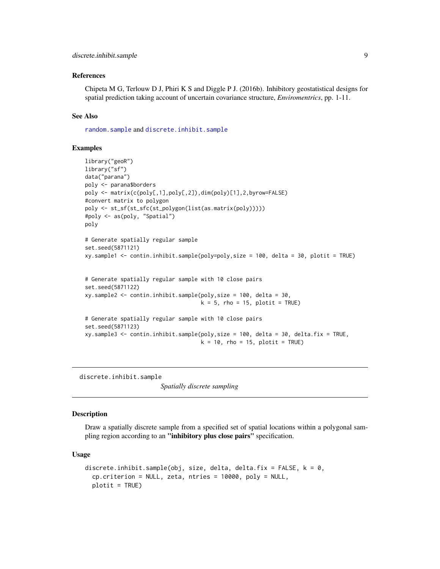# <span id="page-8-0"></span>References

Chipeta M G, Terlouw D J, Phiri K S and Diggle P J. (2016b). Inhibitory geostatistical designs for spatial prediction taking account of uncertain covariance structure, *Enviromentrics*, pp. 1-11.

# See Also

[random.sample](#page-13-1) and [discrete.inhibit.sample](#page-8-1)

# Examples

```
library("geoR")
library("sf")
data("parana")
poly <- parana$borders
poly <- matrix(c(poly[,1],poly[,2]),dim(poly)[1],2,byrow=FALSE)
#convert matrix to polygon
poly <- st_sf(st_sfc(st_polygon(list(as.matrix(poly)))))
#poly <- as(poly, "Spatial")
poly
# Generate spatially regular sample
set.seed(5871121)
xy.sample1 <- contin.inhibit.sample(poly=poly,size = 100, delta = 30, plotit = TRUE)
# Generate spatially regular sample with 10 close pairs
set.seed(5871122)
xy.sample2 <- contin.inhibit.sample(poly,size = 100, delta = 30,
                                    k = 5, rho = 15, plotit = TRUE)
# Generate spatially regular sample with 10 close pairs
set.seed(5871123)
xy.sample3 <- contin.inhibit.sample(poly,size = 100, delta = 30, delta.fix = TRUE,
                                    k = 10, rho = 15, plotit = TRUE)
```
<span id="page-8-1"></span>discrete.inhibit.sample

*Spatially discrete sampling*

# **Description**

Draw a spatially discrete sample from a specified set of spatial locations within a polygonal sampling region according to an "inhibitory plus close pairs" specification.

# Usage

```
discrete.inhibit.sample(obj, size, delta, delta.fix = FALSE, k = 0,
 cp.criterion = NULL, zeta, ntries = 10000, poly = NULL,
 plotit = TRUE)
```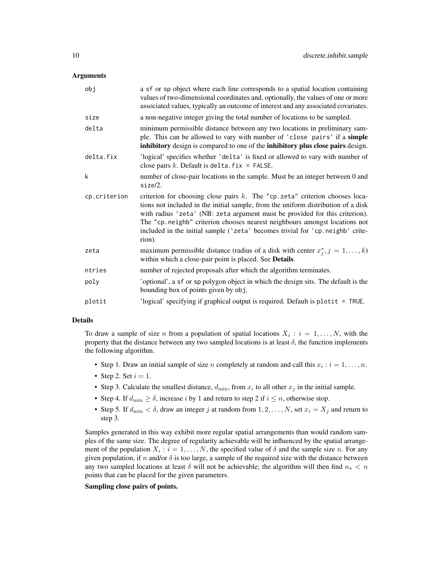# Arguments

| obj          | a sf or sp object where each line corresponds to a spatial location containing<br>values of two-dimensional coordinates and, optionally, the values of one or more<br>associated values, typically an outcome of interest and any associated covariates.                                                                                                                                                                      |
|--------------|-------------------------------------------------------------------------------------------------------------------------------------------------------------------------------------------------------------------------------------------------------------------------------------------------------------------------------------------------------------------------------------------------------------------------------|
| size         | a non-negative integer giving the total number of locations to be sampled.                                                                                                                                                                                                                                                                                                                                                    |
| delta        | minimum permissible distance between any two locations in preliminary sam-<br>ple. This can be allowed to vary with number of 'close pairs' if a simple<br>inhibitory design is compared to one of the inhibitory plus close pairs design.                                                                                                                                                                                    |
| delta.fix    | 'logical' specifies whether 'delta' is fixed or allowed to vary with number of<br>close pairs $k$ . Default is delta. $fix = FALSE$ .                                                                                                                                                                                                                                                                                         |
| k            | number of close-pair locations in the sample. Must be an integer between 0 and<br>size/2.                                                                                                                                                                                                                                                                                                                                     |
| cp.criterion | criterion for choosing close pairs $k$ . The "cp. zeta" criterion chooses loca-<br>tions not included in the initial sample, from the uniform distribution of a disk<br>with radius 'zeta' (NB: zeta argument must be provided for this criterion).<br>The "cp. neighb" criterion chooses nearest neighbours amongst locations not<br>included in the initial sample ('zeta' becomes trivial for 'cp.neighb' crite-<br>rion). |
| zeta         | maximum permissible distance (radius of a disk with center $x_j^*, j = 1, \ldots, k$ )<br>within which a close-pair point is placed. See Details.                                                                                                                                                                                                                                                                             |
| ntries       | number of rejected proposals after which the algorithm terminates.                                                                                                                                                                                                                                                                                                                                                            |
| poly         | 'optional', a sf or sp polygon object in which the design sits. The default is the<br>bounding box of points given by obj.                                                                                                                                                                                                                                                                                                    |
| plotit       | 'logical' specifying if graphical output is required. Default is $plotit = TRUE$ .                                                                                                                                                                                                                                                                                                                                            |

# Details

To draw a sample of size n from a population of spatial locations  $X_i : i = 1, \ldots, N$ , with the property that the distance between any two sampled locations is at least  $\delta$ , the function implements the following algorithm.

- Step 1. Draw an initial sample of size *n* completely at random and call this  $x_i : i = 1, ..., n$ .
- Step 2. Set  $i = 1$ .
- Step 3. Calculate the smallest distance,  $d_{\min}$ , from  $x_i$  to all other  $x_j$  in the initial sample.
- Step 4. If  $d_{\min} \ge \delta$ , increase i by 1 and return to step 2 if  $i \le n$ , otherwise stop.
- Step 5. If  $d_{\min} < \delta$ , draw an integer j at random from  $1, 2, \ldots, N$ , set  $x_i = X_j$  and return to step 3.

Samples generated in this way exhibit more regular spatial arrangements than would random samples of the same size. The degree of regularity achievable will be influenced by the spatial arrangement of the population  $X_i : i = 1, ..., N$ , the specified value of  $\delta$  and the sample size n. For any given population, if n and/or  $\delta$  is too large, a sample of the required size with the distance between any two sampled locations at least  $\delta$  will not be achievable; the algorithm will then find  $n_s < n$ points that can be placed for the given parameters.

# Sampling close pairs of points.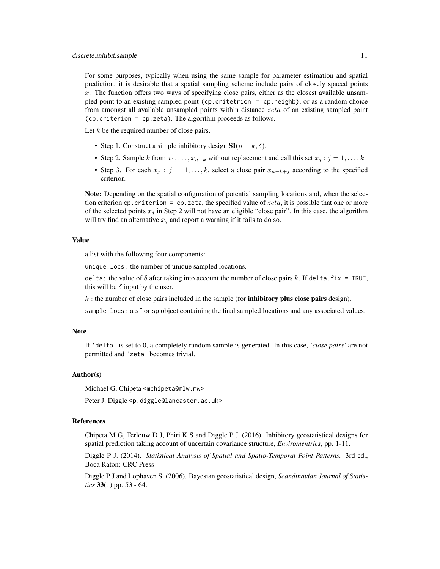For some purposes, typically when using the same sample for parameter estimation and spatial prediction, it is desirable that a spatial sampling scheme include pairs of closely spaced points x. The function offers two ways of specifying close pairs, either as the closest available unsampled point to an existing sampled point (cp.critetrion = cp.neighb), or as a random choice from amongst all available unsampled points within distance zeta of an existing sampled point (cp.criterion = cp.zeta). The algorithm proceeds as follows.

Let  $k$  be the required number of close pairs.

- Step 1. Construct a simple inhibitory design  $SI(n k, \delta)$ .
- Step 2. Sample k from  $x_1, \ldots, x_{n-k}$  without replacement and call this set  $x_j : j = 1, \ldots, k$ .
- Step 3. For each  $x_j$ :  $j = 1, \ldots, k$ , select a close pair  $x_{n-k+j}$  according to the specified criterion.

Note: Depending on the spatial configuration of potential sampling locations and, when the selection criterion cp.criterion = cp.zeta, the specified value of  $zeta$ , it is possible that one or more of the selected points  $x_j$  in Step 2 will not have an eligible "close pair". In this case, the algorithm will try find an alternative  $x_j$  and report a warning if it fails to do so.

# Value

a list with the following four components:

unique.locs: the number of unique sampled locations.

delta: the value of  $\delta$  after taking into account the number of close pairs k. If delta. fix = TRUE, this will be  $\delta$  input by the user.

 $k$ : the number of close pairs included in the sample (for **inhibitory plus close pairs** design).

sample.locs: a sf or sp object containing the final sampled locations and any associated values.

# **Note**

If 'delta' is set to 0, a completely random sample is generated. In this case, *'close pairs'* are not permitted and 'zeta' becomes trivial.

# Author(s)

Michael G. Chipeta <mchipeta@mlw.mw>

Peter J. Diggle <p.diggle@lancaster.ac.uk>

# References

Chipeta M G, Terlouw D J, Phiri K S and Diggle P J. (2016). Inhibitory geostatistical designs for spatial prediction taking account of uncertain covariance structure, *Enviromentrics*, pp. 1-11.

Diggle P J. (2014). *Statistical Analysis of Spatial and Spatio-Temporal Point Patterns.* 3rd ed., Boca Raton: CRC Press

Diggle P J and Lophaven S. (2006). Bayesian geostatistical design, *Scandinavian Journal of Statistics* 33(1) pp. 53 - 64.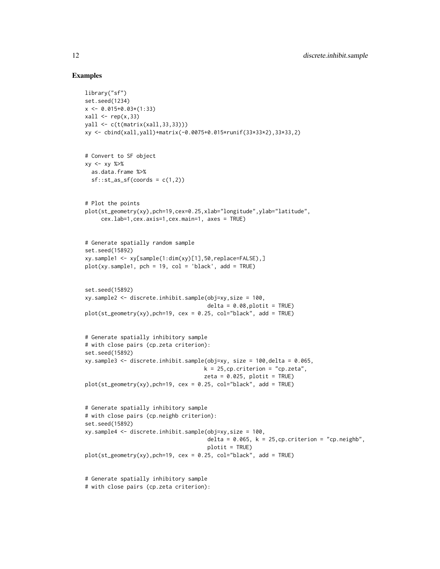# Examples

```
library("sf")
set.seed(1234)
x \leq -0.015+0.03*(1:33)xall \leftarrow rep(x,33)yall <- c(t(matrix(xall,33,33)))
xy <- cbind(xall,yall)+matrix(-0.0075+0.015*runif(33*33*2),33*33,2)
# Convert to SF object
xy <- xy %>%
  as.data.frame %>%
  sf::st_as_sf(coords = c(1,2))# Plot the points
plot(st_geometry(xy),pch=19,cex=0.25,xlab="longitude",ylab="latitude",
     cex.lab=1,cex.axis=1,cex.main=1, axes = TRUE)
# Generate spatially random sample
set.seed(15892)
xy.sample1 <- xy[sample(1:dim(xy)[1],50,replace=FALSE),]
plot(xy.sumple1, pch = 19, col = 'black', add = TRUE)set.seed(15892)
xy.sample2 <- discrete.inhibit.sample(obj=xy,size = 100,
                                       delta = 0.08, plotit = TRUE)
plot(st\_geometry(xy),pch=19, cex = 0.25, col="black", add = TRUE)# Generate spatially inhibitory sample
# with close pairs (cp.zeta criterion):
set.seed(15892)
xy.sample3 <- discrete.inhibit.sample(obj=xy, size = 100,delta = 0.065,
                                      k = 25, cp. criterion = "cp. zeta",
                                      zeta = 0.025, plotit = TRUE)
plot(st\_geometry(xy),pch=19, cex = 0.25, col="black", add = TRUE)# Generate spatially inhibitory sample
# with close pairs (cp.neighb criterion):
set.seed(15892)
xy.sample4 <- discrete.inhibit.sample(obj=xy,size = 100,
                                       delta = 0.065, k = 25, cp. criterion = "cp. neighb",
                                       plotit = TRUE)
plot(st_geometry(xy),pch=19, cex = 0.25, col="black", add = TRUE)
# Generate spatially inhibitory sample
# with close pairs (cp.zeta criterion):
```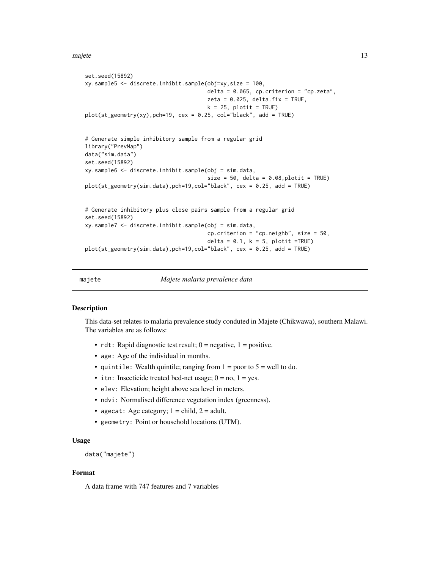#### <span id="page-12-0"></span>majete termine and the set of the set of the set of the set of the set of the set of the set of the set of the set of the set of the set of the set of the set of the set of the set of the set of the set of the set of the s

```
set.seed(15892)
xy.sample5 <- discrete.inhibit.sample(obj=xy,size = 100,
                                      delta = 0.065, cp.criterion = "cp.zeta",
                                      zeta = 0.025, delta.fix = TRUE,
                                      k = 25, plotit = TRUE)
plot(st_geometry(xy),pch=19, cex = 0.25, col="black", add = TRUE)
# Generate simple inhibitory sample from a regular grid
library("PrevMap")
data("sim.data")
set.seed(15892)
xy.sample6 <- discrete.inhibit.sample(obj = sim.data,
                                      size = 50, delta = 0.08, plotit = TRUE)
plot(st_geometry(sim.data),pch=19,col="black", cex = 0.25, add = TRUE)
# Generate inhibitory plus close pairs sample from a regular grid
set.seed(15892)
xy.sample7 <- discrete.inhibit.sample(obj = sim.data,
                                      cp.criterion = "cp.neighb", size = 50,
                                      delta = 0.1, k = 5, plotit =TRUE)
plot(st_geometry(sim.data),pch=19,col="black", cex = 0.25, add = TRUE)
```
majete *Majete malaria prevalence data*

# **Description**

This data-set relates to malaria prevalence study conduted in Majete (Chikwawa), southern Malawi. The variables are as follows:

- rdt: Rapid diagnostic test result;  $0 =$  negative,  $1 =$  positive.
- age: Age of the individual in months.
- quintile: Wealth quintile; ranging from  $1 =$  poor to  $5 =$  well to do.
- itn: Insecticide treated bed-net usage;  $0 = no$ ,  $1 = yes$ .
- elev: Elevation; height above sea level in meters.
- ndvi: Normalised difference vegetation index (greenness).
- agecat: Age category;  $1 = child$ ,  $2 = adult$ .
- geometry: Point or household locations (UTM).

# Usage

```
data("majete")
```
#### Format

A data frame with 747 features and 7 variables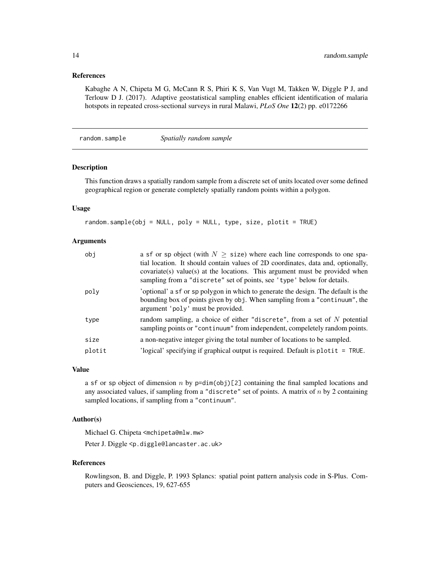# <span id="page-13-0"></span>References

Kabaghe A N, Chipeta M G, McCann R S, Phiri K S, Van Vugt M, Takken W, Diggle P J, and Terlouw D J. (2017). Adaptive geostatistical sampling enables efficient identification of malaria hotspots in repeated cross-sectional surveys in rural Malawi, *PLoS One* 12(2) pp. e0172266

<span id="page-13-1"></span>random.sample *Spatially random sample*

#### Description

This function draws a spatially random sample from a discrete set of units located over some defined geographical region or generate completely spatially random points within a polygon.

# Usage

random.sample(obj = NULL, poly = NULL, type, size, plotit = TRUE)

# Arguments

| obj    | a sf or sp object (with $N \geq$ size) where each line corresponds to one spa-<br>tial location. It should contain values of 2D coordinates, data and, optionally,<br>covariate (s) value (s) at the locations. This argument must be provided when<br>sampling from a "discrete" set of points, see 'type' below for details. |
|--------|--------------------------------------------------------------------------------------------------------------------------------------------------------------------------------------------------------------------------------------------------------------------------------------------------------------------------------|
| poly   | 'optional' a sf or sp polygon in which to generate the design. The default is the<br>bounding box of points given by obj. When sampling from a "continuum", the<br>argument 'poly' must be provided.                                                                                                                           |
| type   | random sampling, a choice of either "discrete", from a set of $N$ potential<br>sampling points or "continuum" from independent, compeletely random points.                                                                                                                                                                     |
| size   | a non-negative integer giving the total number of locations to be sampled.                                                                                                                                                                                                                                                     |
| plotit | 'logical' specifying if graphical output is required. Default is plotit $=$ TRUE.                                                                                                                                                                                                                                              |

# Value

a sf or sp object of dimension n by  $p=dim(obj)[2]$  containing the final sampled locations and any associated values, if sampling from a "discrete" set of points. A matrix of  $n$  by 2 containing sampled locations, if sampling from a "continuum".

# Author(s)

Michael G. Chipeta <mchipeta@mlw.mw>

Peter J. Diggle <p.diggle@lancaster.ac.uk>

#### References

Rowlingson, B. and Diggle, P. 1993 Splancs: spatial point pattern analysis code in S-Plus. Computers and Geosciences, 19, 627-655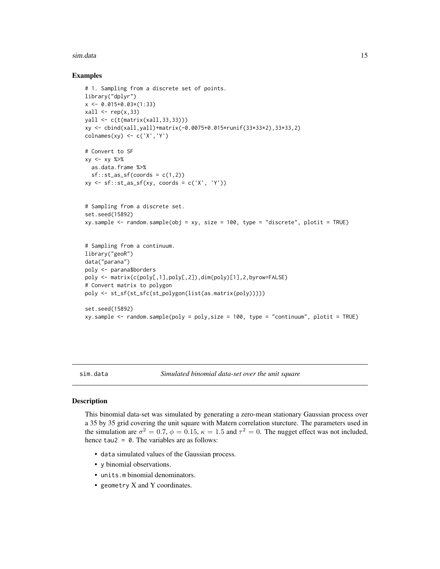#### <span id="page-14-0"></span>sim.data 15

# Examples

```
# 1. Sampling from a discrete set of points.
library("dplyr")
x \le -0.015+0.03*(1:33)xall \leftarrow rep(x,33)yall <- c(t(matrix(xall,33,33)))
xy <- cbind(xall,yall)+matrix(-0.0075+0.015*runif(33*33*2),33*33,2)
\text{colnames}(xy) \leftarrow c('X', 'Y')# Convert to SF
xy \le -xy \frac{8}{9}as.data.frame %>%
  sf::st_as_sf(coords = c(1,2))xy \leftarrow sf::st_as_sf(xy, coords = c('X', 'Y'))# Sampling from a discrete set.
set.seed(15892)
xy.sample <- random.sample(obj = xy, size = 100, type = "discrete", plotit = TRUE)
# Sampling from a continuum.
library("geoR")
data("parana")
poly <- parana$borders
poly <- matrix(c(poly[,1],poly[,2]),dim(poly)[1],2,byrow=FALSE)
# Convert matrix to polygon
poly <- st_sf(st_sfc(st_polygon(list(as.matrix(poly)))))
set.seed(15892)
xy.sample <- random.sample(poly = poly,size = 100, type = "continuum", plotit = TRUE)
```
sim.data *Simulated binomial data-set over the unit square*

# Description

This binomial data-set was simulated by generating a zero-mean stationary Gaussian process over a 35 by 35 grid covering the unit square with Matern correlation sturcture. The parameters used in the simulation are  $\sigma^2 = 0.7$ ,  $\phi = 0.15$ ,  $\kappa = 1.5$  and  $\tau^2 = 0$ . The nugget effect was not included, hence tau2 =  $\theta$ . The variables are as follows:

- data simulated values of the Gaussian process.
- y binomial observations.
- units.m binomial denominators.
- geometry X and Y coordinates.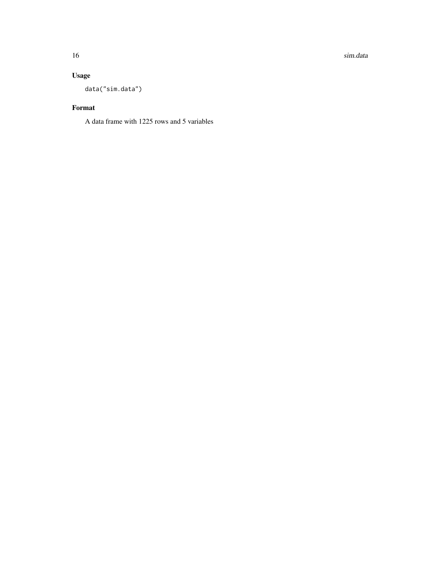16 sim.data

# Usage

data("sim.data")

# Format

A data frame with 1225 rows and 5 variables